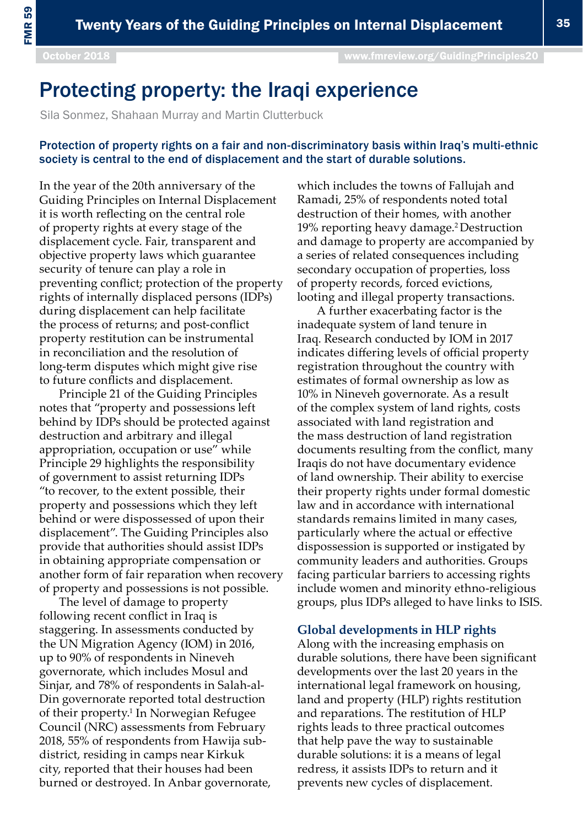# Protecting property: the Iraqi experience

Sila Sonmez, Shahaan Murray and Martin Clutterbuck

# Protection of property rights on a fair and non-discriminatory basis within Iraq's multi-ethnic society is central to the end of displacement and the start of durable solutions.

In the year of the 20th anniversary of the Guiding Principles on Internal Displacement it is worth reflecting on the central role of property rights at every stage of the displacement cycle. Fair, transparent and objective property laws which guarantee security of tenure can play a role in preventing conflict; protection of the property rights of internally displaced persons (IDPs) during displacement can help facilitate the process of returns; and post-conflict property restitution can be instrumental in reconciliation and the resolution of long-term disputes which might give rise to future conflicts and displacement.

Principle 21 of the Guiding Principles notes that "property and possessions left behind by IDPs should be protected against destruction and arbitrary and illegal appropriation, occupation or use" while Principle 29 highlights the responsibility of government to assist returning IDPs "to recover, to the extent possible, their property and possessions which they left behind or were dispossessed of upon their displacement". The Guiding Principles also provide that authorities should assist IDPs in obtaining appropriate compensation or another form of fair reparation when recovery of property and possessions is not possible.

The level of damage to property following recent conflict in Iraq is staggering. In assessments conducted by the UN Migration Agency (IOM) in 2016, up to 90% of respondents in Nineveh governorate, which includes Mosul and Sinjar, and 78% of respondents in Salah-al-Din governorate reported total destruction of their property.<sup>1</sup> In Norwegian Refugee Council (NRC) assessments from February 2018, 55% of respondents from Hawija subdistrict, residing in camps near Kirkuk city, reported that their houses had been burned or destroyed. In Anbar governorate, which includes the towns of Fallujah and Ramadi, 25% of respondents noted total destruction of their homes, with another 19% reporting heavy damage.2 Destruction and damage to property are accompanied by a series of related consequences including secondary occupation of properties, loss of property records, forced evictions, looting and illegal property transactions.

A further exacerbating factor is the inadequate system of land tenure in Iraq. Research conducted by IOM in 2017 indicates differing levels of official property registration throughout the country with estimates of formal ownership as low as 10% in Nineveh governorate. As a result of the complex system of land rights, costs associated with land registration and the mass destruction of land registration documents resulting from the conflict, many Iraqis do not have documentary evidence of land ownership. Their ability to exercise their property rights under formal domestic law and in accordance with international standards remains limited in many cases, particularly where the actual or effective dispossession is supported or instigated by community leaders and authorities. Groups facing particular barriers to accessing rights include women and minority ethno-religious groups, plus IDPs alleged to have links to ISIS.

### **Global developments in HLP rights**

Along with the increasing emphasis on durable solutions, there have been significant developments over the last 20 years in the international legal framework on housing, land and property (HLP) rights restitution and reparations. The restitution of HLP rights leads to three practical outcomes that help pave the way to sustainable durable solutions: it is a means of legal redress, it assists IDPs to return and it prevents new cycles of displacement.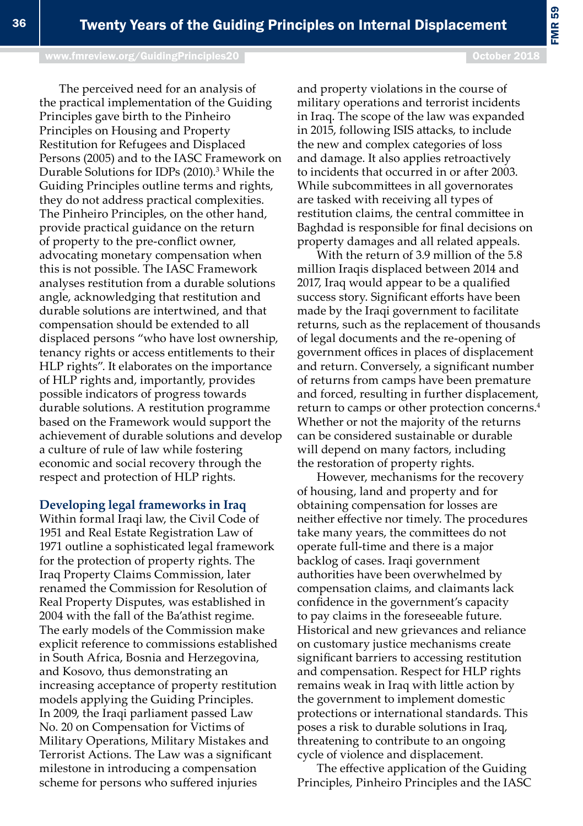[www.fmreview.org/GuidingPrinciples20](http://www.fmreview.org/dayton20
) **October 2018** October 2018

The perceived need for an analysis of the practical implementation of the Guiding Principles gave birth to the Pinheiro Principles on Housing and Property Restitution for Refugees and Displaced Persons (2005) and to the IASC Framework on Durable Solutions for IDPs (2010).<sup>3</sup> While the Guiding Principles outline terms and rights, they do not address practical complexities. The Pinheiro Principles, on the other hand, provide practical guidance on the return of property to the pre-conflict owner, advocating monetary compensation when this is not possible. The IASC Framework analyses restitution from a durable solutions angle, acknowledging that restitution and durable solutions are intertwined, and that compensation should be extended to all displaced persons "who have lost ownership, tenancy rights or access entitlements to their HLP rights". It elaborates on the importance of HLP rights and, importantly, provides possible indicators of progress towards durable solutions. A restitution programme based on the Framework would support the achievement of durable solutions and develop a culture of rule of law while fostering economic and social recovery through the respect and protection of HLP rights.

**Developing legal frameworks in Iraq**

Within formal Iraqi law, the Civil Code of 1951 and Real Estate Registration Law of 1971 outline a sophisticated legal framework for the protection of property rights. The Iraq Property Claims Commission, later renamed the Commission for Resolution of Real Property Disputes, was established in 2004 with the fall of the Ba'athist regime. The early models of the Commission make explicit reference to commissions established in South Africa, Bosnia and Herzegovina, and Kosovo, thus demonstrating an increasing acceptance of property restitution models applying the Guiding Principles. In 2009, the Iraqi parliament passed Law No. 20 on Compensation for Victims of Military Operations, Military Mistakes and Terrorist Actions. The Law was a significant milestone in introducing a compensation scheme for persons who suffered injuries

and property violations in the course of military operations and terrorist incidents in Iraq. The scope of the law was expanded in 2015, following ISIS attacks, to include the new and complex categories of loss and damage. It also applies retroactively to incidents that occurred in or after 2003. While subcommittees in all governorates are tasked with receiving all types of restitution claims, the central committee in Baghdad is responsible for final decisions on property damages and all related appeals.

With the return of 3.9 million of the 5.8 million Iraqis displaced between 2014 and 2017, Iraq would appear to be a qualified success story. Significant efforts have been made by the Iraqi government to facilitate returns, such as the replacement of thousands of legal documents and the re-opening of government offices in places of displacement and return. Conversely, a significant number of returns from camps have been premature and forced, resulting in further displacement, return to camps or other protection concerns.4 Whether or not the majority of the returns can be considered sustainable or durable will depend on many factors, including the restoration of property rights.

However, mechanisms for the recovery of housing, land and property and for obtaining compensation for losses are neither effective nor timely. The procedures take many years, the committees do not operate full-time and there is a major backlog of cases. Iraqi government authorities have been overwhelmed by compensation claims, and claimants lack confidence in the government's capacity to pay claims in the foreseeable future. Historical and new grievances and reliance on customary justice mechanisms create significant barriers to accessing restitution and compensation. Respect for HLP rights remains weak in Iraq with little action by the government to implement domestic protections or international standards. This poses a risk to durable solutions in Iraq, threatening to contribute to an ongoing cycle of violence and displacement.

The effective application of the Guiding Principles, Pinheiro Principles and the IASC